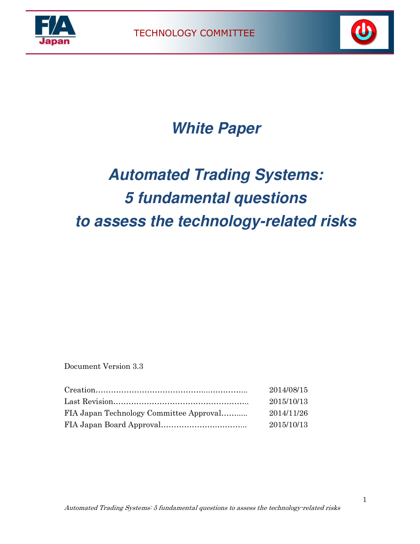



# **White Paper**

# **Automated Trading Systems: 5 fundamental questions to assess the technology-related risks**

Document Version 3.3

|                                         | 2014/08/15 |
|-----------------------------------------|------------|
|                                         | 2015/10/13 |
| FIA Japan Technology Committee Approval | 2014/11/26 |
|                                         | 2015/10/13 |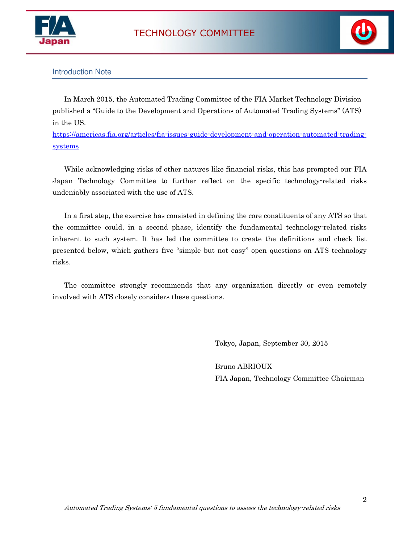



#### Introduction Note

In March 2015, the Automated Trading Committee of the FIA Market Technology Division published a "Guide to the Development and Operations of Automated Trading Systems" (ATS) in the US.

https://americas.fia.org/articles/fia-issues-guide-development-and-operation-automated-tradingsystems

While acknowledging risks of other natures like financial risks, this has prompted our FIA Japan Technology Committee to further reflect on the specific technology-related risks undeniably associated with the use of ATS.

In a first step, the exercise has consisted in defining the core constituents of any ATS so that the committee could, in a second phase, identify the fundamental technology-related risks inherent to such system. It has led the committee to create the definitions and check list presented below, which gathers five "simple but not easy" open questions on ATS technology risks.

The committee strongly recommends that any organization directly or even remotely involved with ATS closely considers these questions.

Tokyo, Japan, September 30, 2015

 Bruno ABRIOUX FIA Japan, Technology Committee Chairman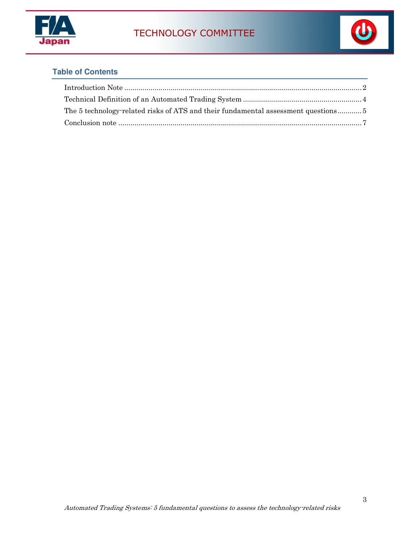



# **Table of Contents**

| The 5 technology-related risks of ATS and their fundamental assessment questions5 |  |
|-----------------------------------------------------------------------------------|--|
|                                                                                   |  |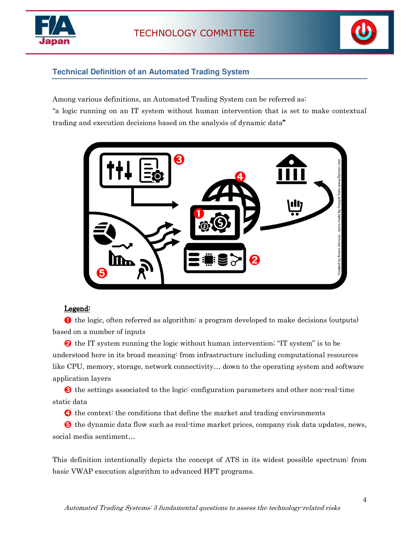



# **Technical Definition of an Automated Trading System**

Among various definitions, an Automated Trading System can be referred as: "a logic running on an IT system without human intervention that is set to make contextual trading and execution decisions based on the analysis of dynamic data"



#### Legend:

➊ the logic, often referred as algorithm: a program developed to make decisions (outputs) based on a number of inputs

➋ the IT system running the logic without human intervention; "IT system" is to be understood here in its broad meaning: from infrastructure including computational resources like CPU, memory, storage, network connectivity… down to the operating system and software application layers

➌ the settings associated to the logic: configuration parameters and other non-real-time static data

**O** the context: the conditions that define the market and trading environments

➎ the dynamic data flow such as real-time market prices, company risk data updates, news, social media sentiment…

This definition intentionally depicts the concept of ATS in its widest possible spectrum: from basic VWAP execution algorithm to advanced HFT programs.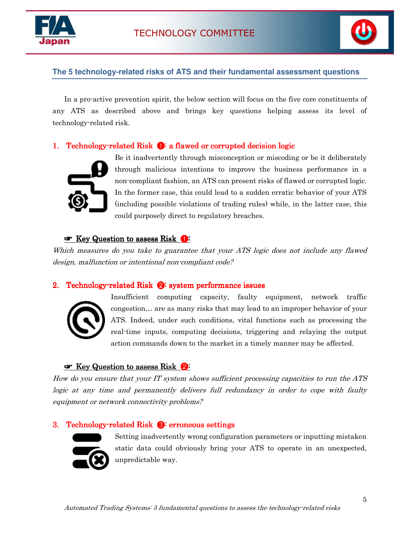



#### **The 5 technology-related risks of ATS and their fundamental assessment questions**

In a pro-active prevention spirit, the below section will focus on the five core constituents of any ATS as described above and brings key questions helping assess its level of technology-related risk.

#### 1. Technology-related Risk  $\bullet$ : a flawed or corrupted decision logic



Be it inadvertently through misconception or miscoding or be it deliberately through malicious intentions to improve the business performance in a non-compliant fashion, an ATS can present risks of flawed or corrupted logic. In the former case, this could lead to a sudden erratic behavior of your ATS (including possible violations of trading rules) while, in the latter case, this could purposely direct to regulatory breaches.

#### $\blacktriangleright$  Key Question to assess Risk  $\blacklozenge$ :

Which measures do you take to guarantee that your ATS logic does not include any flawed design, malfunction or intentional non-compliant code?

#### 2. Technology-related Risk  $\bigotimes$ : system performance issues



Insufficient computing capacity, faulty equipment, network traffic congestion… are as many risks that may lead to an improper behavior of your ATS. Indeed, under such conditions, vital functions such as processing the real-time inputs, computing decisions, triggering and relaying the output action commands down to the market in a timely manner may be affected.

#### $\blacktriangleright$  Key Question to assess Risk  $\blacktriangleright$

How do you ensure that your IT system shows sufficient processing capacities to run the ATS logic at any time and permanently delivers full redundancy in order to cope with faulty equipment or network connectivity problems?

#### 3. Technology-related Risk  $\bigotimes$ : erroneous settings



Setting inadvertently wrong configuration parameters or inputting mistaken static data could obviously bring your ATS to operate in an unexpected, unpredictable way.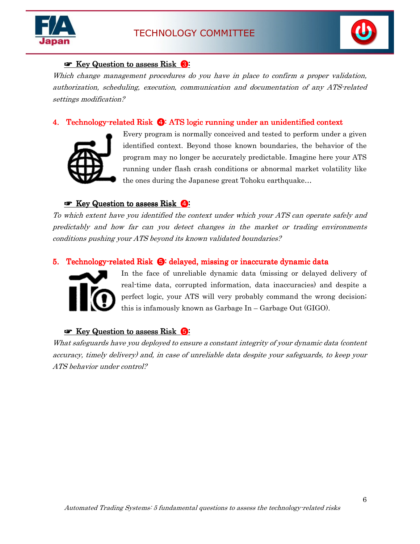



# ☞ Key Question to asses Question to asses Question assessRisk ➌:

Which change management procedures do you have in place to confirm a proper validation, authorization, scheduling, execution, communication and documentation of any ATS-related settings modification?

# 4. Technology-related Risk  $\bigoplus$ : ATS logic running under an unidentified context



Every program is normally conceived and tested to perform under a given identified context. Beyond those known boundaries, the behavior of the program may no longer be accurately predictable. Imagine here your ATS running under flash crash conditions or abnormal market volatility like the ones during the Japanese great Tohoku earthquake…

## <u>ান Key Question to assess Risk  $\bigoplus$ :</u>

To which extent have you identified the context under which your ATS can operate safely and predictably and how far can you detect changes in the market or trading environments conditions pushing your ATS beyond its known validated boundaries?

## 5. Technology-related Risk  $\bullet$ : delayed, missing or inaccurate dynamic data



In the face of unreliable dynamic data (missing or delayed delivery of real-time data, corrupted information, data inaccuracies) and despite a perfect logic, your ATS will very probably command the wrong decision; this is infamously known as Garbage In – Garbage Out (GIGO).

# ☞ Key Question to asses Key Question to asses Question assessRisk ➎:

What safeguards have you deployed to ensure a constant integrity of your dynamic data (content accuracy, timely delivery) and, in case of unreliable data despite your safeguards, to keep your ATS behavior under control?